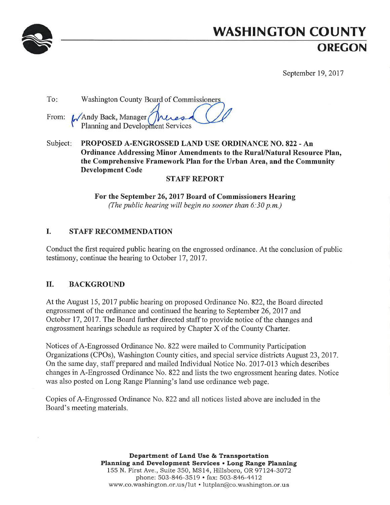

# **WASHINGTON COUNTY** OREGON

September 19, 2017

| To: | Washington County Board of Commissioners                            |  |  |
|-----|---------------------------------------------------------------------|--|--|
|     | From: WAndy Back, Manager Muss<br>Planning and Development Services |  |  |

Subject: PROPOSED A-ENGROSSED LAND USE ORDINANCE NO. 822 - An Ordinance Addressing Minor Amendments to the Rural/Natural Resource Plan, the Comprehensive Framework Plan for the Urban Area, and the Community **Development Code** 

## **STAFF REPORT**

For the September 26, 2017 Board of Commissioners Hearing (The public hearing will begin no sooner than  $6:30$  p.m.)

#### L. **STAFF RECOMMENDATION**

Conduct the first required public hearing on the engrossed ordinance. At the conclusion of public testimony, continue the hearing to October 17, 2017.

#### II. **BACKGROUND**

At the August 15, 2017 public hearing on proposed Ordinance No. 822, the Board directed engrossment of the ordinance and continued the hearing to September 26, 2017 and October 17, 2017. The Board further directed staff to provide notice of the changes and engrossment hearings schedule as required by Chapter X of the County Charter.

Notices of A-Engrossed Ordinance No. 822 were mailed to Community Participation Organizations (CPOs), Washington County cities, and special service districts August 23, 2017. On the same day, staff prepared and mailed Individual Notice No. 2017-013 which describes changes in A-Engrossed Ordinance No. 822 and lists the two engrossment hearing dates. Notice was also posted on Long Range Planning's land use ordinance web page.

Copies of A-Engrossed Ordinance No. 822 and all notices listed above are included in the Board's meeting materials.

> Department of Land Use & Transportation Planning and Development Services . Long Range Planning 155 N. First Ave., Suite 350, MS14, Hillsboro, OR 97124-3072 phone: 503-846-3519 • fax: 503-846-4412 www.co.washington.or.us/lut • lutplan@co.washington.or.us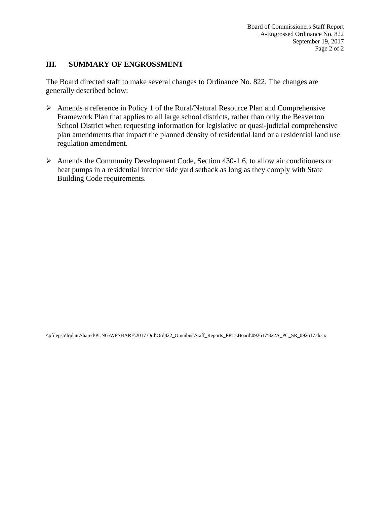## **III. SUMMARY OF ENGROSSMENT**

The Board directed staff to make several changes to Ordinance No. 822. The changes are generally described below:

- $\triangleright$  Amends a reference in Policy 1 of the Rural/Natural Resource Plan and Comprehensive Framework Plan that applies to all large school districts, rather than only the Beaverton School District when requesting information for legislative or quasi-judicial comprehensive plan amendments that impact the planned density of residential land or a residential land use regulation amendment.
- Amends the Community Development Code, Section 430-1.6, to allow air conditioners or heat pumps in a residential interior side yard setback as long as they comply with State Building Code requirements.

\\pfilepsb\lrplan\Shared\PLNG\WPSHARE\2017 Ord\Ord822\_Omnibus\Staff\_Reports\_PPTs\Board\092617\822A\_PC\_SR\_092617.docx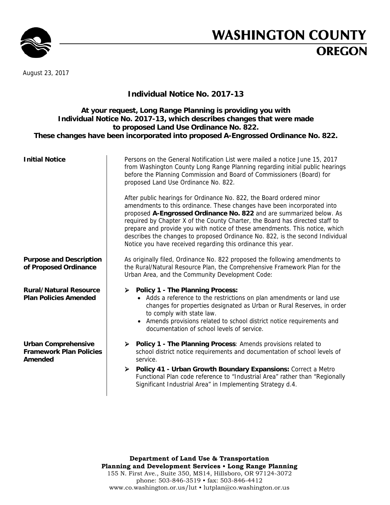

# **WASHINGTON COUNTY OREGON**

August 23, 2017

## **Individual Notice No. 2017-13**

## **At your request, Long Range Planning is providing you with Individual Notice No. 2017-13, which describes changes that were made to proposed Land Use Ordinance No. 822. These changes have been incorporated into proposed A-Engrossed Ordinance No. 822.**

| <b>Initial Notice</b>                                                   | Persons on the General Notification List were mailed a notice June 15, 2017<br>from Washington County Long Range Planning regarding initial public hearings<br>before the Planning Commission and Board of Commissioners (Board) for<br>proposed Land Use Ordinance No. 822.                                                                                                                                                                                                                                                           |
|-------------------------------------------------------------------------|----------------------------------------------------------------------------------------------------------------------------------------------------------------------------------------------------------------------------------------------------------------------------------------------------------------------------------------------------------------------------------------------------------------------------------------------------------------------------------------------------------------------------------------|
|                                                                         | After public hearings for Ordinance No. 822, the Board ordered minor<br>amendments to this ordinance. These changes have been incorporated into<br>proposed A-Engrossed Ordinance No. 822 and are summarized below. As<br>required by Chapter X of the County Charter, the Board has directed staff to<br>prepare and provide you with notice of these amendments. This notice, which<br>describes the changes to proposed Ordinance No. 822, is the second Individual<br>Notice you have received regarding this ordinance this year. |
| <b>Purpose and Description</b><br>of Proposed Ordinance                 | As originally filed, Ordinance No. 822 proposed the following amendments to<br>the Rural/Natural Resource Plan, the Comprehensive Framework Plan for the<br>Urban Area, and the Community Development Code:                                                                                                                                                                                                                                                                                                                            |
| <b>Rural/Natural Resource</b><br><b>Plan Policies Amended</b>           | <b>Policy 1 - The Planning Process:</b><br>➤<br>• Adds a reference to the restrictions on plan amendments or land use<br>changes for properties designated as Urban or Rural Reserves, in order<br>to comply with state law.<br>• Amends provisions related to school district notice requirements and<br>documentation of school levels of service.                                                                                                                                                                                   |
| <b>Urban Comprehensive</b><br><b>Framework Plan Policies</b><br>Amended | > Policy 1 - The Planning Process: Amends provisions related to<br>school district notice requirements and documentation of school levels of<br>service.<br>Policy 41 - Urban Growth Boundary Expansions: Correct a Metro<br>➤<br>Functional Plan code reference to "Industrial Area" rather than "Regionally<br>Significant Industrial Area" in Implementing Strategy d.4.                                                                                                                                                            |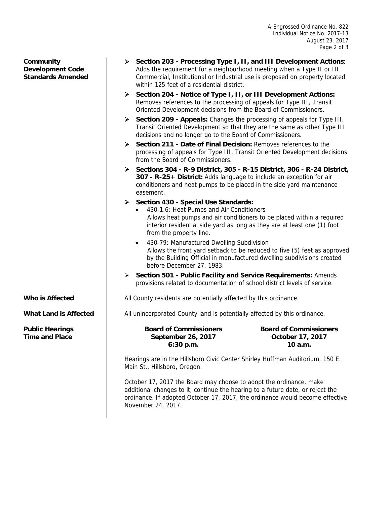**Community Development Code Standards Amended** 

- **Section 203 Processing Type I, II, and III Development Actions**: Adds the requirement for a neighborhood meeting when a Type II or III Commercial, Institutional or Industrial use is proposed on property located within 125 feet of a residential district.
- **Section 204 Notice of Type I, II, or III Development Actions:**  Removes references to the processing of appeals for Type III, Transit Oriented Development decisions from the Board of Commissioners.
- **Section 209 Appeals:** Changes the processing of appeals for Type III, Transit Oriented Development so that they are the same as other Type III decisions and no longer go to the Board of Commissioners.
- **Section 211 Date of Final Decision:** Removes references to the processing of appeals for Type III, Transit Oriented Development decisions from the Board of Commissioners.
- **Sections 304 R-9 District, 305 R-15 District, 306 R-24 District, 307 - R-25+ District:** Adds language to include an exception for air conditioners and heat pumps to be placed in the side yard maintenance easement.
- **Section 430 Special Use Standards:**
	- 430-1.6: Heat Pumps and Air Conditioners Allows heat pumps and air conditioners to be placed within a required interior residential side yard as long as they are at least one (1) foot from the property line.
	- 430-79: Manufactured Dwelling Subdivision Allows the front yard setback to be reduced to five (5) feet as approved by the Building Official in manufactured dwelling subdivisions created before December 27, 1983.
- **Section 501 Public Facility and Service Requirements:** Amends provisions related to documentation of school district levels of service.

**Who is Affected All County residents are potentially affected by this ordinance.** 

**What Land is Affected | All unincorporated County land is potentially affected by this ordinance.** 

**Public Hearings Time and Place**

**Board of Commissioners September 26, 2017 6:30 p.m.**

**Board of Commissioners October 17, 2017 10 a.m.**

Hearings are in the Hillsboro Civic Center Shirley Huffman Auditorium, 150 E. Main St., Hillsboro, Oregon.

October 17, 2017 the Board may choose to adopt the ordinance, make additional changes to it, continue the hearing to a future date, or reject the ordinance. If adopted October 17, 2017, the ordinance would become effective November 24, 2017.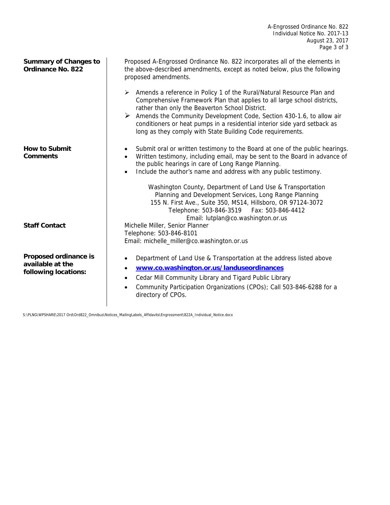| <b>Summary of Changes to</b><br><b>Ordinance No. 822</b>          | Proposed A-Engrossed Ordinance No. 822 incorporates all of the elements in<br>the above-described amendments, except as noted below, plus the following<br>proposed amendments.                                                                                                                                                                                                                                                                                                                                                                 |
|-------------------------------------------------------------------|-------------------------------------------------------------------------------------------------------------------------------------------------------------------------------------------------------------------------------------------------------------------------------------------------------------------------------------------------------------------------------------------------------------------------------------------------------------------------------------------------------------------------------------------------|
|                                                                   | > Amends a reference in Policy 1 of the Rural/Natural Resource Plan and<br>Comprehensive Framework Plan that applies to all large school districts,<br>rather than only the Beaverton School District.<br>Amends the Community Development Code, Section 430-1.6, to allow air<br>conditioners or heat pumps in a residential interior side yard setback as<br>long as they comply with State Building Code requirements.                                                                                                                       |
| <b>How to Submit</b><br><b>Comments</b>                           | Submit oral or written testimony to the Board at one of the public hearings.<br>٠<br>Written testimony, including email, may be sent to the Board in advance of<br>the public hearings in care of Long Range Planning.<br>Include the author's name and address with any public testimony.<br>$\bullet$<br>Washington County, Department of Land Use & Transportation<br>Planning and Development Services, Long Range Planning<br>155 N. First Ave., Suite 350, MS14, Hillsboro, OR 97124-3072<br>Telephone: 503-846-3519<br>Fax: 503-846-4412 |
|                                                                   | Email: lutplan@co.washington.or.us                                                                                                                                                                                                                                                                                                                                                                                                                                                                                                              |
| <b>Staff Contact</b>                                              | Michelle Miller, Senior Planner<br>Telephone: 503-846-8101                                                                                                                                                                                                                                                                                                                                                                                                                                                                                      |
|                                                                   | Email: michelle_miller@co.washington.or.us                                                                                                                                                                                                                                                                                                                                                                                                                                                                                                      |
| Proposed ordinance is<br>available at the<br>following locations: | Department of Land Use & Transportation at the address listed above<br>$\bullet$<br>www.co.washington.or.us/landuseordinances<br>$\bullet$<br>Cedar Mill Community Library and Tigard Public Library<br>$\bullet$<br>Community Participation Organizations (CPOs); Call 503-846-6288 for a<br>directory of CPOs.                                                                                                                                                                                                                                |

S:\PLNG\WPSHARE\2017 Ord\Ord822\_Omnibus\Notices\_MailingLabels\_Affidavits\Engrossment\822A\_Individual\_Notice.docx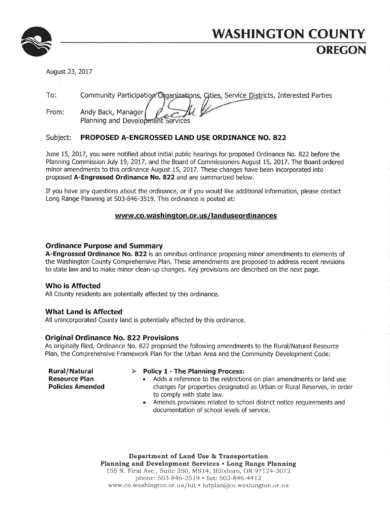

# **WASHINGTON COUNTY OREGON**

August 23, 2017

 $To:$ Community Participation Organizations, Gities, Service Districts, Interested Parties

From: Andy Back, Manager Planning and Development

#### Subject: PROPOSED A-ENGROSSED LAND USE ORDINANCE NO. 822

June 15, 2017, you were notified about initial public hearings for proposed Ordinance No. 822 before the Planning Commission July 19, 2017, and the Board of Commissioners August 15, 2017. The Board ordered minor amendments to this ordinance August 15, 2017. These changes have been incorporated into proposed A-Engrossed Ordinance No. 822 and are summarized below.

If you have any questions about the ordinance, or if you would like additional information, please contact Long Range Planning at 503-846-3519. This ordinance is posted at:

## www.co.washington.or.us/landuseordinances

## **Ordinance Purpose and Summary**

A-Engrossed Ordinance No. 822 is an omnibus ordinance proposing minor amendments to elements of the Washington County Comprehensive Plan. These amendments are proposed to address recent revisions to state law and to make minor clean-up changes. Key provisions are described on the next page.

## **Who is Affected**

All County residents are potentially affected by this ordinance.

## **What Land is Affected**

All unincorporated County land is potentially affected by this ordinance.

## **Original Ordinance No. 822 Provisions**

As originally filed, Ordinance No. 822 proposed the following amendments to the Rural/Natural Resource Plan, the Comprehensive Framework Plan for the Urban Area and the Community Development Code:

**Rural/Natural Resource Plan Policies Amended** 

### $\triangleright$  Policy 1 - The Planning Process:

- Adds a reference to the restrictions on plan amendments or land use changes for properties designated as Urban or Rural Reserves, in order to comply with state law.
- Amends provisions related to school district notice requirements and documentation of school levels of service.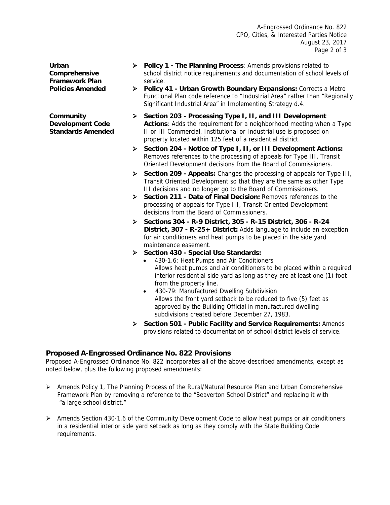A-Engrossed Ordinance No. 822 CPO, Cities, & Interested Parties Notice August 23, 2017 Page 2 of 3

**Urban Comprehensive Framework Plan Policies Amended** 

**Community Development Code Standards Amended** 

- **Policy 1 The Planning Process**: Amends provisions related to school district notice requirements and documentation of school levels of service.
- **Policy 41 Urban Growth Boundary Expansions:** Corrects a Metro Functional Plan code reference to "Industrial Area" rather than "Regionally Significant Industrial Area" in Implementing Strategy d.4.
- **Section 203 Processing Type I, II, and III Development Actions**: Adds the requirement for a neighborhood meeting when a Type II or III Commercial, Institutional or Industrial use is proposed on property located within 125 feet of a residential district.
- **Section 204 Notice of Type I, II, or III Development Actions:**  Removes references to the processing of appeals for Type III, Transit Oriented Development decisions from the Board of Commissioners.
- **Section 209 Appeals:** Changes the processing of appeals for Type III, Transit Oriented Development so that they are the same as other Type III decisions and no longer go to the Board of Commissioners.
- **Section 211 Date of Final Decision:** Removes references to the processing of appeals for Type III, Transit Oriented Development decisions from the Board of Commissioners.
- **Sections 304 R-9 District, 305 R-15 District, 306 R-24 District, 307 - R-25+ District:** Adds language to include an exception for air conditioners and heat pumps to be placed in the side yard maintenance easement.
- **Section 430 Special Use Standards:**
	- 430-1.6: Heat Pumps and Air Conditioners Allows heat pumps and air conditioners to be placed within a required interior residential side yard as long as they are at least one (1) foot from the property line.
	- 430-79: Manufactured Dwelling Subdivision Allows the front yard setback to be reduced to five (5) feet as approved by the Building Official in manufactured dwelling subdivisions created before December 27, 1983.
- **Section 501 Public Facility and Service Requirements:** Amends provisions related to documentation of school district levels of service.

## **Proposed A-Engrossed Ordinance No. 822 Provisions**

Proposed A-Engrossed Ordinance No. 822 incorporates all of the above-described amendments, except as noted below, plus the following proposed amendments:

- $\triangleright$  Amends Policy 1, The Planning Process of the Rural/Natural Resource Plan and Urban Comprehensive Framework Plan by removing a reference to the "Beaverton School District" and replacing it with "a large school district."
- $\triangleright$  Amends Section 430-1.6 of the Community Development Code to allow heat pumps or air conditioners in a residential interior side yard setback as long as they comply with the State Building Code requirements.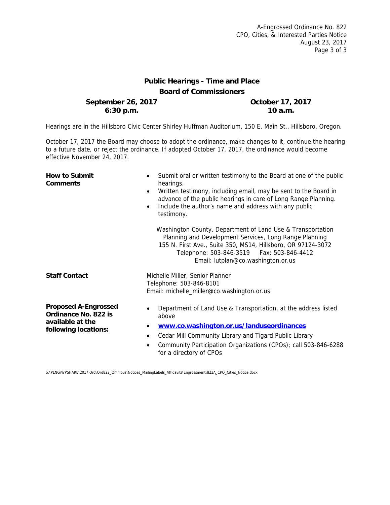## **Public Hearings - Time and Place Board of Commissioners**

**September 26, 2017 October 17, 2017 6:30 p.m. 10 a.m.**

Hearings are in the Hillsboro Civic Center Shirley Huffman Auditorium, 150 E. Main St., Hillsboro, Oregon.

October 17, 2017 the Board may choose to adopt the ordinance, make changes to it, continue the hearing to a future date, or reject the ordinance. If adopted October 17, 2017, the ordinance would become effective November 24, 2017.

| <b>How to Submit</b><br><b>Comments</b>                                                         | Submit oral or written testimony to the Board at one of the public<br>$\bullet$<br>hearings.<br>Written testimony, including email, may be sent to the Board in<br>$\bullet$<br>advance of the public hearings in care of Long Range Planning.<br>Include the author's name and address with any public<br>$\bullet$<br>testimony.<br>Washington County, Department of Land Use & Transportation |
|-------------------------------------------------------------------------------------------------|--------------------------------------------------------------------------------------------------------------------------------------------------------------------------------------------------------------------------------------------------------------------------------------------------------------------------------------------------------------------------------------------------|
|                                                                                                 | Planning and Development Services, Long Range Planning<br>155 N. First Ave., Suite 350, MS14, Hillsboro, OR 97124-3072<br>Telephone: 503-846-3519    Fax: 503-846-4412<br>Email: lutplan@co.washington.or.us                                                                                                                                                                                     |
| <b>Staff Contact</b>                                                                            | Michelle Miller, Senior Planner<br>Telephone: 503-846-8101<br>Email: michelle_miller@co.washington.or.us                                                                                                                                                                                                                                                                                         |
| <b>Proposed A-Engrossed</b><br>Ordinance No. 822 is<br>available at the<br>following locations: | Department of Land Use & Transportation, at the address listed<br>above<br>www.co.washington.or.us/landuseordinances<br>Cedar Mill Community Library and Tigard Public Library<br>٠<br>Community Participation Organizations (CPOs); call 503-846-6288<br>for a directory of CPOs                                                                                                                |

S:\PLNG\WPSHARE\2017 Ord\Ord822\_Omnibus\Notices\_MailingLabels\_Affidavits\Engrossment\822A\_CPO\_Cities\_Notice.docx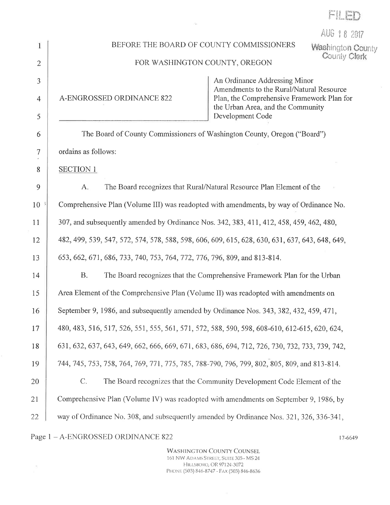|        | AUG 18 2017                                                                                                  |  |  |
|--------|--------------------------------------------------------------------------------------------------------------|--|--|
|        | BEFORE THE BOARD OF COUNTY COMMISSIONERS<br><b>Washington County</b><br>County Clerk                         |  |  |
| 2      | FOR WASHINGTON COUNTY, OREGON                                                                                |  |  |
| 3      | An Ordinance Addressing Minor<br>Amendments to the Rural/Natural Resource                                    |  |  |
| 4      | A-ENGROSSED ORDINANCE 822<br>Plan, the Comprehensive Framework Plan for<br>the Urban Area, and the Community |  |  |
| 5      | Development Code                                                                                             |  |  |
| 6      | The Board of County Commissioners of Washington County, Oregon ("Board")                                     |  |  |
| $\tau$ | ordains as follows:                                                                                          |  |  |
| 8      | <b>SECTION 1</b>                                                                                             |  |  |
| 9      | The Board recognizes that Rural/Natural Resource Plan Element of the<br>A.                                   |  |  |
| 10     | Comprehensive Plan (Volume III) was readopted with amendments, by way of Ordinance No.                       |  |  |
| 11     | 307, and subsequently amended by Ordinance Nos. 342, 383, 411, 412, 458, 459, 462, 480,                      |  |  |
| 12     | 482, 499, 539, 547, 572, 574, 578, 588, 598, 606, 609, 615, 628, 630, 631, 637, 643, 648, 649,               |  |  |
| 13     | 653, 662, 671, 686, 733, 740, 753, 764, 772, 776, 796, 809, and 813-814.                                     |  |  |
| 14     | <b>B.</b><br>The Board recognizes that the Comprehensive Framework Plan for the Urban                        |  |  |
| 15     | Area Element of the Comprehensive Plan (Volume II) was readopted with amendments on                          |  |  |
| 16     | September 9, 1986, and subsequently amended by Ordinance Nos. 343, 382, 432, 459, 471,                       |  |  |
| 17     | 480, 483, 516, 517, 526, 551, 555, 561, 571, 572, 588, 590, 598, 608-610, 612-615, 620, 624,                 |  |  |
| 18     | 631, 632, 637, 643, 649, 662, 666, 669, 671, 683, 686, 694, 712, 726, 730, 732, 733, 739, 742,               |  |  |
| 19     | 744, 745, 753, 758, 764, 769, 771, 775, 785, 788-790, 796, 799, 802, 805, 809, and 813-814.                  |  |  |
| 20     | $C$ .<br>The Board recognizes that the Community Development Code Element of the                             |  |  |
| 21     | Comprehensive Plan (Volume IV) was readopted with amendments on September 9, 1986, by                        |  |  |
| 22     | way of Ordinance No. 308, and subsequently amended by Ordinance Nos. 321, 326, 336-341,                      |  |  |
|        |                                                                                                              |  |  |

 $\mathbb{E}[\mathbf{Q}^{\top}]$ 

Page  $1 - A\mbox{-ENGROSSED ORDINANCE 822}$ 

 $\sim$ 

**WASHINGTON COUNTY COUNSEL** 161 NW ADAMS STREET, SUITE 305 - MS 24 HILLSBORO, OR 97124-3072 PHONE (503) 846-8747 - FAX (503) 846-8636 17-6649

FILED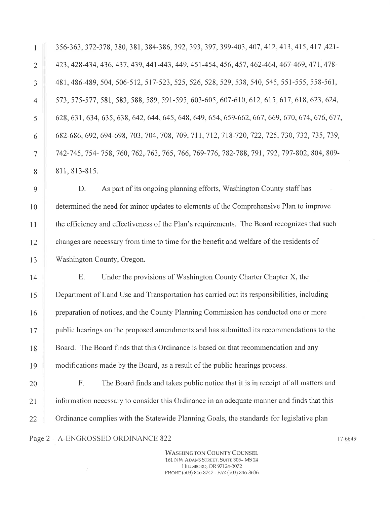356-363, 372-378, 380, 381, 384-386, 392, 393, 397, 399-403, 407, 412, 413, 415, 417, 421-423, 428-434, 436, 437, 439, 441-443, 449, 451-454, 456, 457, 462-464, 467-469, 471, 478-481, 486-489, 504, 506-512, 517-523, 525, 526, 528, 529, 538, 540, 545, 551-555, 558-561, 573, 575-577, 581, 583, 588, 589, 591-595, 603-605, 607-610, 612, 615, 617, 618, 623, 624, 628, 631, 634, 635, 638, 642, 644, 645, 648, 649, 654, 659-662, 667, 669, 670, 674, 676, 677, 682-686, 692, 694-698, 703, 704, 708, 709, 711, 712, 718-720, 722, 725, 730, 732, 735, 739, 742-745, 754-758, 760, 762, 763, 765, 766, 769-776, 782-788, 791, 792, 797-802, 804, 809-811, 813-815.

D. As part of its ongoing planning efforts, Washington County staff has determined the need for minor updates to elements of the Comprehensive Plan to improve the efficiency and effectiveness of the Plan's requirements. The Board recognizes that such changes are necessary from time to time for the benefit and welfare of the residents of Washington County, Oregon.

E. Under the provisions of Washington County Charter Chapter X, the 14 Department of Land Use and Transportation has carried out its responsibilities, including 15 preparation of notices, and the County Planning Commission has conducted one or more 16  $17$ public hearings on the proposed amendments and has submitted its recommendations to the Board. The Board finds that this Ordinance is based on that recommendation and any 18 modifications made by the Board, as a result of the public hearings process. 19

F. The Board finds and takes public notice that it is in receipt of all matters and 20 information necessary to consider this Ordinance in an adequate manner and finds that this 21 22 Ordinance complies with the Statewide Planning Goals, the standards for legislative plan

Page 2 - A-ENGROSSED ORDINANCE 822

 $\mathbf{1}$ 

 $\mathfrak{D}$ 

3

 $\overline{4}$ 

 $\varsigma$ 

6

 $\tau$ 

8

 $\overline{Q}$ 

10

11

12

13

**WASHINGTON COUNTY COUNSEL** 161 NW ADAMS STREET, SUITE 305-MS 24 HILLSBORO, OR 97124-3072 PHONE (503) 846-8747 - FAX (503) 846-8636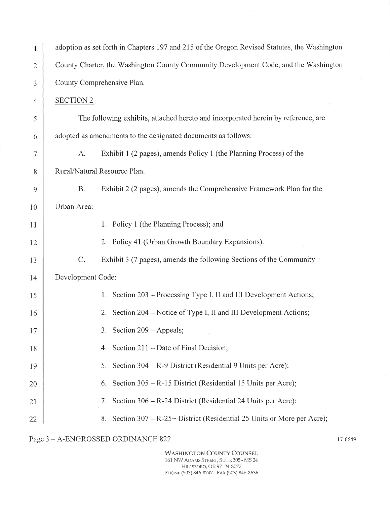| I                        | adoption as set forth in Chapters 197 and 215 of the Oregon Revised Statutes, the Washington |  |  |
|--------------------------|----------------------------------------------------------------------------------------------|--|--|
| 2                        | County Charter, the Washington County Community Development Code, and the Washington         |  |  |
| 3                        | County Comprehensive Plan.                                                                   |  |  |
| $\overline{\mathcal{A}}$ | <b>SECTION 2</b>                                                                             |  |  |
| 5                        | The following exhibits, attached hereto and incorporated herein by reference, are            |  |  |
| 6                        | adopted as amendments to the designated documents as follows:                                |  |  |
| 7                        | Exhibit 1 (2 pages), amends Policy 1 (the Planning Process) of the<br>A.                     |  |  |
| 8                        | Rural/Natural Resource Plan.                                                                 |  |  |
| 9                        | Exhibit 2 (2 pages), amends the Comprehensive Framework Plan for the<br><b>B.</b>            |  |  |
| 10                       | Urban Area:                                                                                  |  |  |
| 11                       | 1. Policy 1 (the Planning Process); and                                                      |  |  |
| 12                       | 2. Policy 41 (Urban Growth Boundary Expansions).                                             |  |  |
| 13                       | C.<br>Exhibit 3 (7 pages), amends the following Sections of the Community                    |  |  |
| 14                       | Development Code:                                                                            |  |  |
| 15                       | 1. Section 203 – Processing Type I, II and III Development Actions;                          |  |  |
| 16                       | Section 204 – Notice of Type I, II and III Development Actions;<br>2.                        |  |  |
| 17                       | 3. Section 209 – Appeals;                                                                    |  |  |
| 18                       | Section 211 – Date of Final Decision;<br>4.                                                  |  |  |
| 19                       | Section $304 - R - 9$ District (Residential 9 Units per Acre);<br>5.                         |  |  |
| 20                       | Section 305 – R-15 District (Residential 15 Units per Acre);<br>6.                           |  |  |
| 21                       | Section 306 – R-24 District (Residential 24 Units per Acre);<br>7.                           |  |  |
| 22                       | Section 307 – R-25+ District (Residential 25 Units or More per Acre);<br>8.                  |  |  |

Page  $3$  –  $\operatorname{A-ENGROSSED}$  ORDINANCE 822

**WASHINGTON COUNTY COUNSEL** 161 NW ADAMS STREET, SUITE 305-MS 24 HILLSBORO, OR 97124-3072<br>PHONE (503) 846-8747 - FAX (503) 846-8636 17-6649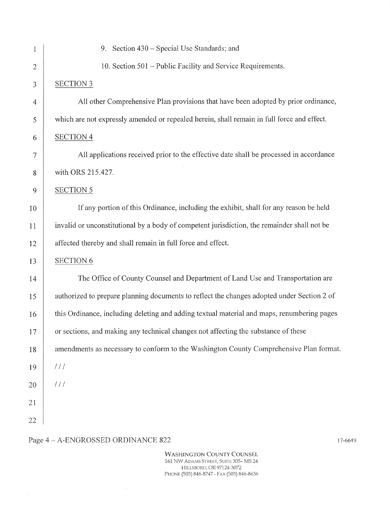| $\mathbf{1}$   | 9. Section 430 – Special Use Standards; and                                                 |
|----------------|---------------------------------------------------------------------------------------------|
| $\overline{2}$ | 10. Section 501 - Public Facility and Service Requirements.                                 |
| $\mathfrak{Z}$ | <b>SECTION 3</b>                                                                            |
| $\overline{4}$ | All other Comprehensive Plan provisions that have been adopted by prior ordinance,          |
| 5              | which are not expressly amended or repealed herein, shall remain in full force and effect.  |
| 6              | <b>SECTION 4</b>                                                                            |
| $\tau$         | All applications received prior to the effective date shall be processed in accordance      |
| 8              | with ORS 215.427.                                                                           |
| 9              | <b>SECTION 5</b>                                                                            |
| 10             | If any portion of this Ordinance, including the exhibit, shall for any reason be held       |
| 11             | invalid or unconstitutional by a body of competent jurisdiction, the remainder shall not be |
| 12             | affected thereby and shall remain in full force and effect.                                 |
| 13             | <b>SECTION 6</b>                                                                            |
| 14             | The Office of County Counsel and Department of Land Use and Transportation are              |
| 15             | authorized to prepare planning documents to reflect the changes adopted under Section 2 of  |
| 16             | this Ordinance, including deleting and adding textual material and maps, renumbering pages  |
| 17             | or sections, and making any technical changes not affecting the substance of these          |
| 18             | amendments as necessary to conform to the Washington County Comprehensive Plan format.      |
| 19             | 111                                                                                         |
| 20             | 111                                                                                         |
| 21             |                                                                                             |
| 22             |                                                                                             |
|                |                                                                                             |

## Page  $4$  –  $\operatorname{A-ENGROSSED}$  ORDINANCE 822

**WASHINGTON COUNTY COUNSEL** 161 NW ADAMS STREET, SUITE 305-MS 24 HILLSBORO, OR 97124-3072 PHONE (503) 846-8747 - FAX (503) 846-8636 17-6649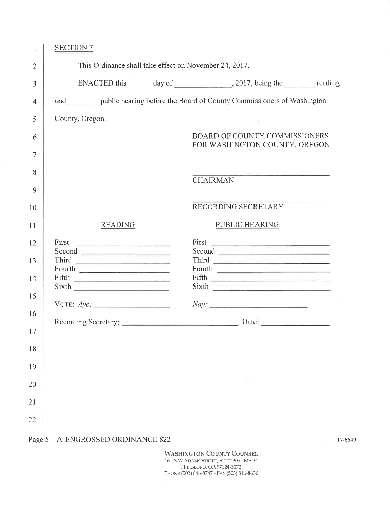| $\mathbf{1}$                                                       | <b>SECTION 7</b>                                                    |                                                                                                                                                                                                                                                                                           |
|--------------------------------------------------------------------|---------------------------------------------------------------------|-------------------------------------------------------------------------------------------------------------------------------------------------------------------------------------------------------------------------------------------------------------------------------------------|
| $\overline{2}$                                                     | This Ordinance shall take effect on November 24, 2017.              |                                                                                                                                                                                                                                                                                           |
| 3                                                                  |                                                                     |                                                                                                                                                                                                                                                                                           |
| $\overline{4}$                                                     |                                                                     | and public hearing before the Board of County Commissioners of Washington                                                                                                                                                                                                                 |
| 5                                                                  | County, Oregon.                                                     |                                                                                                                                                                                                                                                                                           |
| 6                                                                  |                                                                     | <b>BOARD OF COUNTY COMMISSIONERS</b>                                                                                                                                                                                                                                                      |
| 7                                                                  |                                                                     | FOR WASHINGTON COUNTY, OREGON                                                                                                                                                                                                                                                             |
| 8                                                                  |                                                                     |                                                                                                                                                                                                                                                                                           |
| 9                                                                  |                                                                     | <b>CHAIRMAN</b>                                                                                                                                                                                                                                                                           |
| 10                                                                 |                                                                     | RECORDING SECRETARY                                                                                                                                                                                                                                                                       |
| 11                                                                 | <b>READING</b>                                                      | PUBLIC HEARING                                                                                                                                                                                                                                                                            |
| 12<br>13<br>14<br>15<br>16<br>17<br>$18\,$<br>19<br>20<br>21<br>22 | First<br>Second<br>Fourth<br>$\text{Fifth}$<br>Sixth<br>VOTE: $Aye$ | Second <b>Executive Contract of the Contract of Contract Contract of Contract Contract Contract Oriental Contract Oriental Contract Oriental Contract Oriental Contract Oriental Contract Oriental Contract Oriental Contract Or</b><br>Sixth<br>Nay:<br>Recording Secretary: Date: Date: |

## Page  $5 - A\mbox{-ENGROSSED ORDINANCE 822}$

**WASHINGTON COUNTY COUNSEL** 161 NW ADAMS STREET, SUITE 305-MS 24 HILLSBORO, OR 97124-3072 PHONE (503) 846-8747 - FAX (503) 846-8636

 $\sim$ 

17-6649

 $\mathcal{V}_\mathbf{d}$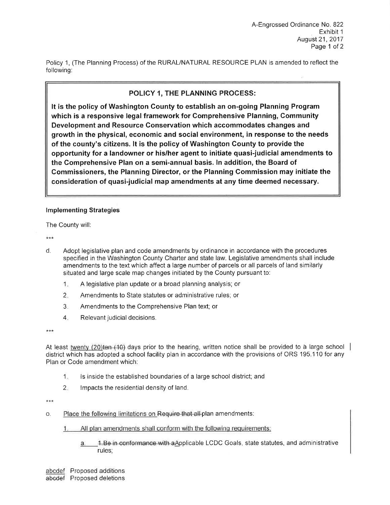Policy 1, (The Planning Process) of the RURAL/NATURAL RESOURCE PLAN is amended to reflect the following:

## POLICY 1, THE PLANNING PROCESS:

It is the policy of Washington County to establish an on-going Planning Program which is a responsive legal framework for Comprehensive Planning, Community Development and Resource Conservation which accommodates changes and growth in the physical, economic and social environment, in response to the needs of the county's citizens. It is the policy of Washington County to provide the opportunity for a landowner or his/her agent to initiate quasi-judicial amendments to the Comprehensive Plan on a semi-annual basis. In addition, the Board of Commissioners, the Planning Director, or the Planning Commission may initiate the consideration of quasi-judicial map amendments at any time deemed necessary.

## **Implementing Strategies**

The County will:

 $***$ 

- d. Adopt legislative plan and code amendments by ordinance in accordance with the procedures specified in the Washington County Charter and state law. Legislative amendments shall include amendments to the text which affect a large number of parcels or all parcels of land similarly situated and large scale map changes initiated by the County pursuant to:
	- A legislative plan update or a broad planning analysis; or  $1<sub>x</sub>$
	- $2.$ Amendments to State statutes or administrative rules; or
	- $3.$ Amendments to the Comprehensive Plan text; or
	- $4.$ Relevant judicial decisions.

\*\*\*

At least twenty (20) ten (10) days prior to the hearing, written notice shall be provided to a large school  $\vert$ district which has adopted a school facility plan in accordance with the provisions of ORS 195.110 for any Plan or Code amendment which:

- $1.$ Is inside the established boundaries of a large school district; and
- $2$ Impacts the residential density of land.

\*\*\*

- Place the following limitations on Require that all-plan amendments:  $\mathsf{O}$ .
	- All plan amendments shall conform with the following requirements:  $1.$

1. Be in conformance with a Applicable LCDC Goals, state statutes, and administrative a. rules: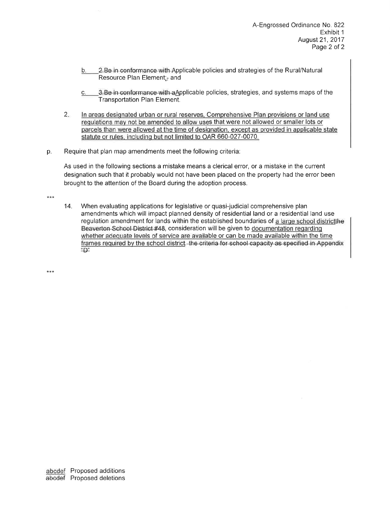- 2. Be in conformance with Applicable policies and strategies of the Rural/Natural  $b.$ Resource Plan Element;<sub>7</sub> and
- 3. Be in conformance with a Applicable policies, strategies, and systems maps of the  $C_{\cdot}$ Transportation Plan Element.
- $2.$ In areas designated urban or rural reserves, Comprehensive Plan provisions or land use regulations may not be amended to allow uses that were not allowed or smaller lots or parcels than were allowed at the time of designation, except as provided in applicable state statute or rules, including but not limited to OAR 660-027-0070.
- Require that plan map amendments meet the following criteria: p.

As used in the following sections a mistake means a clerical error, or a mistake in the current designation such that it probably would not have been placed on the property had the error been brought to the attention of the Board during the adoption process.

\*\*\*

 $14.$ When evaluating applications for legislative or quasi-judicial comprehensive plan amendments which will impact planned density of residential land or a residential land use regulation amendment for lands within the established boundaries of a large school district the Beaverton School District #48, consideration will be given to documentation regarding whether adequate levels of service are available or can be made available within the time frames required by the school district. the criteria for school capacity as specified in Appendix  $\sum_{n=1}^{n}$ 

\*\*\*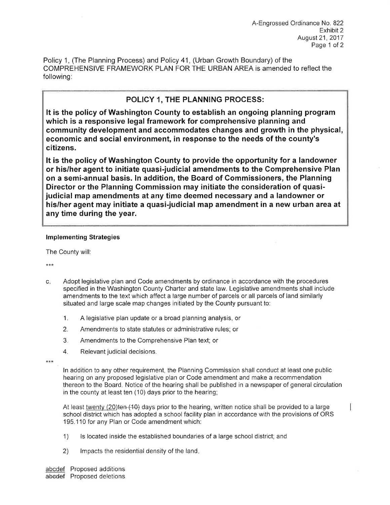Policy 1. (The Planning Process) and Policy 41. (Urban Growth Boundary) of the COMPREHENSIVE FRAMEWORK PLAN FOR THE URBAN AREA is amended to reflect the following:

## POLICY 1, THE PLANNING PROCESS:

It is the policy of Washington County to establish an ongoing planning program which is a responsive legal framework for comprehensive planning and community development and accommodates changes and growth in the physical, economic and social environment, in response to the needs of the county's citizens.

It is the policy of Washington County to provide the opportunity for a landowner or his/her agent to initiate quasi-judicial amendments to the Comprehensive Plan on a semi-annual basis. In addition, the Board of Commissioners, the Planning Director or the Planning Commission may initiate the consideration of quasijudicial map amendments at any time deemed necessary and a landowner or his/her agent may initiate a quasi-judicial map amendment in a new urban area at any time during the year.

## **Implementing Strategies**

The County will:

 $***$ 

- Adopt legislative plan and Code amendments by ordinance in accordance with the procedures  $C_{+}$ specified in the Washington County Charter and state law. Legislative amendments shall include amendments to the text which affect a large number of parcels or all parcels of land similarly situated and large scale map changes initiated by the County pursuant to:
	- $1<sub>1</sub>$ A legislative plan update or a broad planning analysis, or
	- $2.$ Amendments to state statutes or administrative rules; or
	- $3.$ Amendments to the Comprehensive Plan text; or
	- Relevant judicial decisions. 4.

 $***$ 

In addition to any other requirement, the Planning Commission shall conduct at least one public hearing on any proposed legislative plan or Code amendment and make a recommendation thereon to the Board. Notice of the hearing shall be published in a newspaper of general circulation in the county at least ten (10) days prior to the hearing;

At least twenty (20)ten (10) days prior to the hearing, written notice shall be provided to a large school district which has adopted a school facility plan in accordance with the provisions of ORS 195.110 for any Plan or Code amendment which:

- Is located inside the established boundaries of a large school district; and  $\left( \begin{matrix} 1 \end{matrix} \right)$
- Impacts the residential density of the land. 2)

abcdef Proposed additions abedef Proposed deletions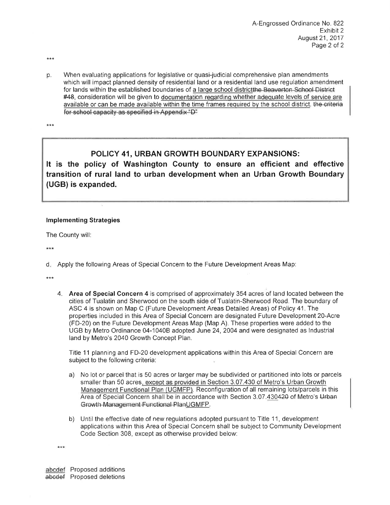- \*\*\*
- When evaluating applications for legislative or quasi-judicial comprehensive plan amendments p. which will impact planned density of residential land or a residential land use regulation amendment for lands within the established boundaries of a large school district the Beaverton School District #48, consideration will be given to documentation regarding whether adequate levels of service are available or can be made available within the time frames required by the school district, the criteria for school capacity as specified in Appendix "D"

 $***$ 

## POLICY 41, URBAN GROWTH BOUNDARY EXPANSIONS:

It is the policy of Washington County to ensure an efficient and effective transition of rural land to urban development when an Urban Growth Boundary (UGB) is expanded.

## **Implementing Strategies**

The County will:

 $***$ 

d. Apply the following Areas of Special Concern to the Future Development Areas Map:

4. Area of Special Concern 4 is comprised of approximately 354 acres of land located between the cities of Tualatin and Sherwood on the south side of Tualatin-Sherwood Road. The boundary of ASC 4 is shown on Map C (Future Development Areas Detailed Areas) of Policy 41. The properties included in this Area of Special Concern are designated Future Development 20-Acre (FD-20) on the Future Development Areas Map (Map A). These properties were added to the UGB by Metro Ordinance 04-1040B adopted June 24, 2004 and were designated as Industrial land by Metro's 2040 Growth Concept Plan.

Title 11 planning and FD-20 development applications within this Area of Special Concern are subject to the following criteria:

- a) No lot or parcel that is 50 acres or larger may be subdivided or partitioned into lots or parcels smaller than 50 acres, except as provided in Section 3.07.430 of Metro's Urban Growth Management Functional Plan (UGMFP). Reconfiguration of all remaining lots/parcels in this Area of Special Concern shall be in accordance with Section 3.07.430420 of Metro's Urban Growth Management Functional PlanUGMFP.
- b) Until the effective date of new regulations adopted pursuant to Title 11, development applications within this Area of Special Concern shall be subject to Community Development Code Section 308, except as otherwise provided below:

\*\*\*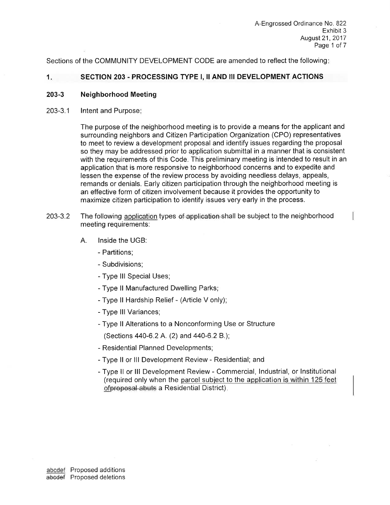Sections of the COMMUNITY DEVELOPMENT CODE are amended to reflect the following:

#### $1.$ SECTION 203 - PROCESSING TYPE I, II AND III DEVELOPMENT ACTIONS

#### $203 - 3$ **Neighborhood Meeting**

 $203 - 3.1$ Intent and Purpose:

> The purpose of the neighborhood meeting is to provide a means for the applicant and surrounding neighbors and Citizen Participation Organization (CPO) representatives to meet to review a development proposal and identify issues regarding the proposal so they may be addressed prior to application submittal in a manner that is consistent with the requirements of this Code. This preliminary meeting is intended to result in an application that is more responsive to neighborhood concerns and to expedite and lessen the expense of the review process by avoiding needless delays, appeals, remands or denials. Early citizen participation through the neighborhood meeting is an effective form of citizen involvement because it provides the opportunity to maximize citizen participation to identify issues very early in the process.

- The following application types of application shall be subject to the neighborhood  $203 - 3.2$ meeting requirements:
	- A. Inside the UGB:
		- Partitions;
		- Subdivisions:
		- Type III Special Uses;
		- Type II Manufactured Dwelling Parks;
		- Type II Hardship Relief (Article V only);
		- Type III Variances;
		- Type II Alterations to a Nonconforming Use or Structure

(Sections 440-6.2 A. (2) and 440-6.2 B.);

- Residential Planned Developments;
- Type II or III Development Review Residential; and
- Type II or III Development Review Commercial, Industrial, or Institutional (required only when the parcel subject to the application is within 125 feet ofproposal abuts a Residential District).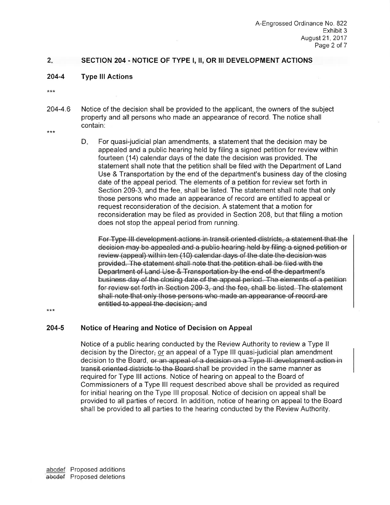#### $2.$ SECTION 204 - NOTICE OF TYPE I, II, OR III DEVELOPMENT ACTIONS

 $204 - 4$ **Type III Actions** 

 $***$ 

- 204-4.6 Notice of the decision shall be provided to the applicant, the owners of the subject property and all persons who made an appearance of record. The notice shall contain:
- \*\*\*
- For quasi-judicial plan amendments, a statement that the decision may be D. appealed and a public hearing held by filing a signed petition for review within fourteen (14) calendar days of the date the decision was provided. The statement shall note that the petition shall be filed with the Department of Land Use & Transportation by the end of the department's business day of the closing date of the appeal period. The elements of a petition for review set forth in Section 209-3, and the fee, shall be listed. The statement shall note that only those persons who made an appearance of record are entitled to appeal or request reconsideration of the decision. A statement that a motion for reconsideration may be filed as provided in Section 208, but that filing a motion does not stop the appeal period from running.

For Type III development actions in transit oriented districts, a statement that the decision may be appealed and a public hearing held by filing a signed petition or review (appeal) within ten (10) calendar days of the date the decision was provided. The statement shall note that the petition shall be filed with the Department of Land Use & Transportation by the end of the department's business day of the closing date of the appeal period. The elements of a petition for review set forth in Section 209-3, and the fee, shall be listed. The statement shall note that only those persons who made an appearance of record are entitled to appeal the decision; and

\*\*\*

#### 204-5 Notice of Hearing and Notice of Decision on Appeal

Notice of a public hearing conducted by the Review Authority to review a Type II decision by the Director<sub> $\tau$ </sub> or an appeal of a Type III quasi-judicial plan amendment decision to the Board, or an appeal of a decision on a Type III development action in transit oriented districts to the Board shall be provided in the same manner as required for Type III actions. Notice of hearing on appeal to the Board of Commissioners of a Type III request described above shall be provided as required for initial hearing on the Type III proposal. Notice of decision on appeal shall be provided to all parties of record. In addition, notice of hearing on appeal to the Board shall be provided to all parties to the hearing conducted by the Review Authority.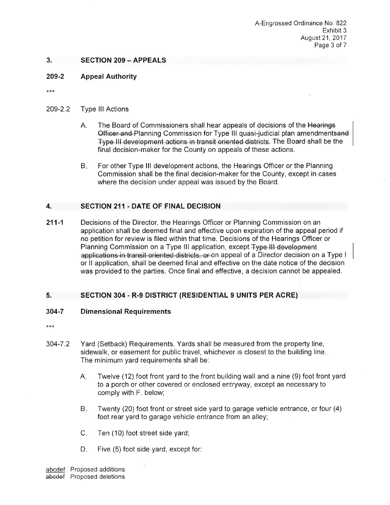#### $3<sub>1</sub>$ **SECTION 209 - APPEALS**

#### 209-2 **Appeal Authority**

 $***$ 

#### 209-2.2 **Type III Actions**

- Α. The Board of Commissioners shall hear appeals of decisions of the Hearings Officer and Planning Commission for Type III quasi-judicial plan amendmentsand Type III development actions in transit oriented districts. The Board shall be the final decision-maker for the County on appeals of these actions.
- $B_{\star}$ For other Type III development actions, the Hearings Officer or the Planning Commission shall be the final decision-maker for the County, except in cases where the decision under appeal was issued by the Board.

#### **SECTION 211 - DATE OF FINAL DECISION**  $\boldsymbol{A}$ .

 $211 - 1$ Decisions of the Director, the Hearings Officer or Planning Commission on an application shall be deemed final and effective upon expiration of the appeal period if no petition for review is filed within that time. Decisions of the Hearings Officer or Planning Commission on a Type III application, except Type III development applications in transit oriented districts, or on appeal of a Director decision on a Type I or II application, shall be deemed final and effective on the date notice of the decision was provided to the parties. Once final and effective, a decision cannot be appealed.

#### **SECTION 304 - R-9 DISTRICT (RESIDENTIAL 9 UNITS PER ACRE)** 5.

#### $304 - 7$ **Dimensional Requirements**

- $304 7.2$ Yard (Setback) Requirements. Yards shall be measured from the property line, sidewalk, or easement for public travel, whichever is closest to the building line. The minimum yard requirements shall be:
	- Twelve (12) foot front yard to the front building wall and a nine (9) foot front yard  $A_{\rm r}$ to a porch or other covered or enclosed entryway, except as necessary to comply with F. below;
	- $B_{\rm H}$ Twenty (20) foot front or street side yard to garage vehicle entrance, or four (4) foot rear yard to garage vehicle entrance from an alley;
	- $C_{\infty}$ Ten (10) foot street side yard;
	- D., Five (5) foot side yard, except for:

abcdef Proposed additions abcdef Proposed deletions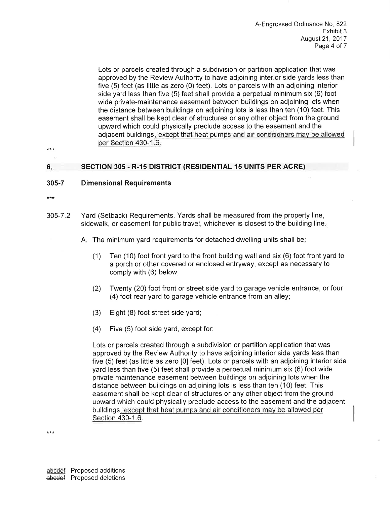Lots or parcels created through a subdivision or partition application that was approved by the Review Authority to have adjoining interior side yards less than five (5) feet (as little as zero (0) feet). Lots or parcels with an adjoining interior side yard less than five (5) feet shall provide a perpetual minimum six (6) foot wide private-maintenance easement between buildings on adjoining lots when the distance between buildings on adjoining lots is less than ten (10) feet. This easement shall be kept clear of structures or any other object from the ground upward which could physically preclude access to the easement and the adiacent buildings, except that heat pumps and air conditioners may be allowed per Section 430-1.6.

 $***$ 

#### **SECTION 305 - R-15 DISTRICT (RESIDENTIAL 15 UNITS PER ACRE)** 6.

#### $305 - 7$ **Dimensional Requirements**

- $***$
- Yard (Setback) Requirements. Yards shall be measured from the property line,  $305 - 7.2$ sidewalk, or easement for public travel, whichever is closest to the building line.

A. The minimum yard requirements for detached dwelling units shall be:

- $(1)$ Ten (10) foot front yard to the front building wall and six (6) foot front yard to a porch or other covered or enclosed entryway, except as necessary to comply with (6) below;
- Twenty (20) foot front or street side yard to garage vehicle entrance, or four  $(2)$ (4) foot rear yard to garage vehicle entrance from an alley;
- Eight (8) foot street side yard;  $(3)$
- $(4)$ Five (5) foot side yard, except for:

Lots or parcels created through a subdivision or partition application that was approved by the Review Authority to have adjoining interior side yards less than five (5) feet (as little as zero [0] feet). Lots or parcels with an adjoining interior side yard less than five (5) feet shall provide a perpetual minimum six (6) foot wide private maintenance easement between buildings on adjoining lots when the distance between buildings on adjoining lots is less than ten (10) feet. This easement shall be kept clear of structures or any other object from the ground upward which could physically preclude access to the easement and the adjacent buildings, except that heat pumps and air conditioners may be allowed per Section 430-1.6.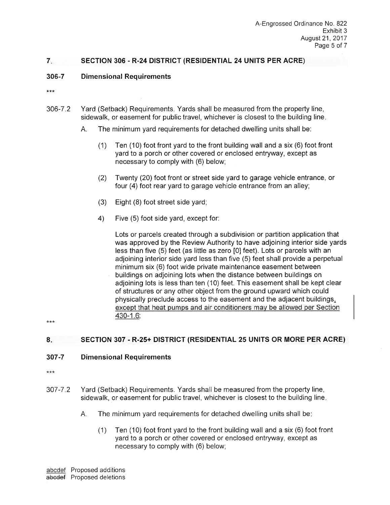#### $7.$ SECTION 306 - R-24 DISTRICT (RESIDENTIAL 24 UNITS PER ACRE)

#### 306-7 **Dimensional Requirements**

 $***$ 

- 306-7.2 Yard (Setback) Requirements. Yards shall be measured from the property line, sidewalk, or easement for public travel, whichever is closest to the building line.
	- Α. The minimum yard requirements for detached dwelling units shall be:
		- Ten (10) foot front yard to the front building wall and a six (6) foot front  $(1)$ vard to a porch or other covered or enclosed entryway, except as necessary to comply with (6) below;
		- Twenty (20) foot front or street side yard to garage vehicle entrance, or  $(2)$ four (4) foot rear yard to garage vehicle entrance from an alley;
		- Eight (8) foot street side yard;  $(3)$
		- Five (5) foot side yard, except for:  $4)$

Lots or parcels created through a subdivision or partition application that was approved by the Review Authority to have adjoining interior side yards less than five (5) feet (as little as zero [0] feet). Lots or parcels with an adjoining interior side yard less than five (5) feet shall provide a perpetual minimum six (6) foot wide private maintenance easement between buildings on adjoining lots when the distance between buildings on adjoining lots is less than ten (10) feet. This easement shall be kept clear of structures or any other object from the ground upward which could physically preclude access to the easement and the adjacent buildings, except that heat pumps and air conditioners may be allowed per Section 430-1.6;

#### $8.$ SECTION 307 - R-25+ DISTRICT (RESIDENTIAL 25 UNITS OR MORE PER ACRE)

#### 307-7 **Dimensional Requirements**

 $***$ 

- Yard (Setback) Requirements. Yards shall be measured from the property line,  $307 - 7.2$ sidewalk, or easement for public travel, whichever is closest to the building line.
	- $A_{n}$ The minimum yard requirements for detached dwelling units shall bet
		- Ten (10) foot front yard to the front building wall and a six (6) foot front  $(1)$ yard to a porch or other covered or enclosed entryway, except as necessary to comply with (6) below;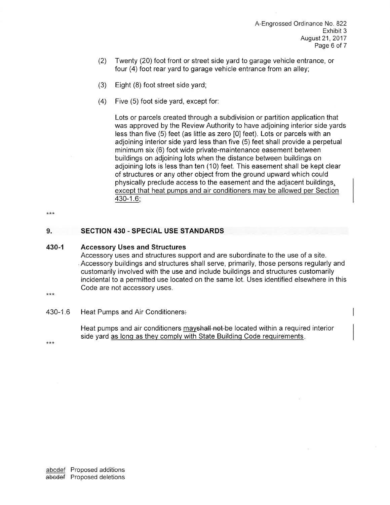- Twenty (20) foot front or street side vard to garage vehicle entrance, or  $(2)$ four (4) foot rear yard to garage vehicle entrance from an alley;
- $(3)$ Eight (8) foot street side yard;
- $(4)$ Five (5) foot side yard, except for:

Lots or parcels created through a subdivision or partition application that was approved by the Review Authority to have adjoining interior side yards less than five (5) feet (as little as zero [0] feet). Lots or parcels with an adjoining interior side vard less than five (5) feet shall provide a perpetual minimum six (6) foot wide private-maintenance easement between buildings on adjoining lots when the distance between buildings on adjoining lots is less than ten (10) feet. This easement shall be kept clear of structures or any other object from the ground upward which could physically preclude access to the easement and the adjacent buildings, except that heat pumps and air conditioners may be allowed per Section  $430 - 1.6$ ;

 $***$ 

#### $9.$ **SECTION 430 - SPECIAL USE STANDARDS**

#### 430-1 **Accessory Uses and Structures**

Accessory uses and structures support and are subordinate to the use of a site. Accessory buildings and structures shall serve, primarily, those persons regularly and customarily involved with the use and include buildings and structures customarily incidental to a permitted use located on the same lot. Uses identified elsewhere in this Code are not accessory uses.

 $***$ 

430-1.6 Heat Pumps and Air Conditioners.

> Heat pumps and air conditioners may shall not be located within a required interior side yard as long as they comply with State Building Code requirements.

 $***$